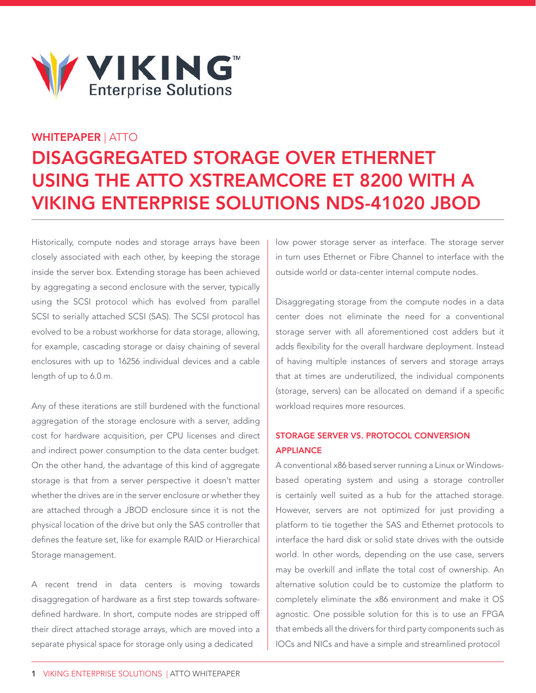

# WHITEPAPER | ATTO

# Disaggregated Storage over Ethernet Using the ATTO XstreamCORE ET 8200 with a VIKING ENTERPRISE SOLUTIONS NDS-41020 JBOD

Historically, compute nodes and storage arrays have been closely associated with each other, by keeping the storage inside the server box. Extending storage has been achieved by aggregating a second enclosure with the server, typically using the SCSI protocol which has evolved from parallel SCSI to serially attached SCSI (SAS). The SCSI protocol has evolved to be a robust workhorse for data storage, allowing, for example, cascading storage or daisy chaining of several enclosures with up to 16256 individual devices and a cable length of up to 6.0 m.

Any of these iterations are still burdened with the functional aggregation of the storage enclosure with a server, adding cost for hardware acquisition, per CPU licenses and direct and indirect power consumption to the data center budget. On the other hand, the advantage of this kind of aggregate storage is that from a server perspective it doesn't matter whether the drives are in the server enclosure or whether they are attached through a JBOD enclosure since it is not the physical location of the drive but only the SAS controller that defines the feature set, like for example RAID or Hierarchical Storage management.

A recent trend in data centers is moving towards disaggregation of hardware as a first step towards softwaredefined hardware. In short, compute nodes are stripped off their direct attached storage arrays, which are moved into a separate physical space for storage only using a dedicated

low power storage server as interface. The storage server in turn uses Ethernet or Fibre Channel to interface with the outside world or data-center internal compute nodes.

Disaggregating storage from the compute nodes in a data center does not eliminate the need for a conventional storage server with all aforementioned cost adders but it adds flexibility for the overall hardware deployment. Instead of having multiple instances of servers and storage arrays that at times are underutilized, the individual components (storage, servers) can be allocated on demand if a specific workload requires more resources.

# Storage Server vs. Protocol Conversion **APPLIANCE**

A conventional x86 based server running a Linux or Windowsbased operating system and using a storage controller is certainly well suited as a hub for the attached storage. However, servers are not optimized for just providing a platform to tie together the SAS and Ethernet protocols to interface the hard disk or solid state drives with the outside world. In other words, depending on the use case, servers may be overkill and inflate the total cost of ownership. An alternative solution could be to customize the platform to completely eliminate the x86 environment and make it OS agnostic. One possible solution for this is to use an FPGA that embeds all the drivers for third party components such as IOCs and NICs and have a simple and streamlined protocol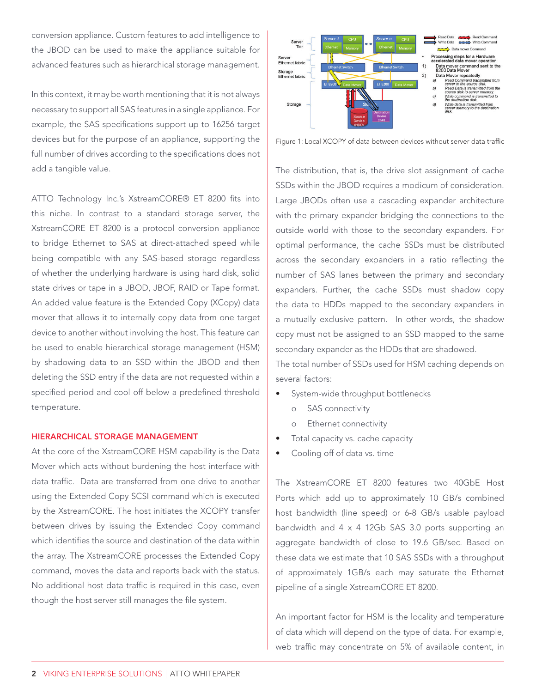conversion appliance. Custom features to add intelligence to the JBOD can be used to make the appliance suitable for advanced features such as hierarchical storage management.

In this context, it may be worth mentioning that it is not always necessary to support all SAS features in a single appliance. For example, the SAS specifications support up to 16256 target devices but for the purpose of an appliance, supporting the full number of drives according to the specifications does not add a tangible value.

ATTO Technology Inc.'s XstreamCORE® ET 8200 fits into this niche. In contrast to a standard storage server, the XstreamCORE ET 8200 is a protocol conversion appliance to bridge Ethernet to SAS at direct-attached speed while being compatible with any SAS-based storage regardless of whether the underlying hardware is using hard disk, solid state drives or tape in a JBOD, JBOF, RAID or Tape format. An added value feature is the Extended Copy (XCopy) data mover that allows it to internally copy data from one target device to another without involving the host. This feature can be used to enable hierarchical storage management (HSM) by shadowing data to an SSD within the JBOD and then deleting the SSD entry if the data are not requested within a specified period and cool off below a predefined threshold temperature.

#### Hierarchical Storage Management

At the core of the XstreamCORE HSM capability is the Data Mover which acts without burdening the host interface with data traffic. Data are transferred from one drive to another using the Extended Copy SCSI command which is executed by the XstreamCORE. The host initiates the XCOPY transfer between drives by issuing the Extended Copy command which identifies the source and destination of the data within the array. The XstreamCORE processes the Extended Copy command, moves the data and reports back with the status. No additional host data traffic is required in this case, even though the host server still manages the file system.



Figure 1: Local XCOPY of data between devices without server data traffic

The distribution, that is, the drive slot assignment of cache SSDs within the JBOD requires a modicum of consideration. Large JBODs often use a cascading expander architecture with the primary expander bridging the connections to the outside world with those to the secondary expanders. For optimal performance, the cache SSDs must be distributed across the secondary expanders in a ratio reflecting the number of SAS lanes between the primary and secondary expanders. Further, the cache SSDs must shadow copy the data to HDDs mapped to the secondary expanders in a mutually exclusive pattern. In other words, the shadow copy must not be assigned to an SSD mapped to the same secondary expander as the HDDs that are shadowed.

The total number of SSDs used for HSM caching depends on several factors:

- System-wide throughput bottlenecks
	- o SAS connectivity
	- o Ethernet connectivity
- Total capacity vs. cache capacity
- Cooling off of data vs. time

The XstreamCORE ET 8200 features two 40GbE Host Ports which add up to approximately 10 GB/s combined host bandwidth (line speed) or 6-8 GB/s usable payload bandwidth and 4 x 4 12Gb SAS 3.0 ports supporting an aggregate bandwidth of close to 19.6 GB/sec. Based on these data we estimate that 10 SAS SSDs with a throughput of approximately 1GB/s each may saturate the Ethernet pipeline of a single XstreamCORE ET 8200.

An important factor for HSM is the locality and temperature of data which will depend on the type of data. For example, web traffic may concentrate on 5% of available content, in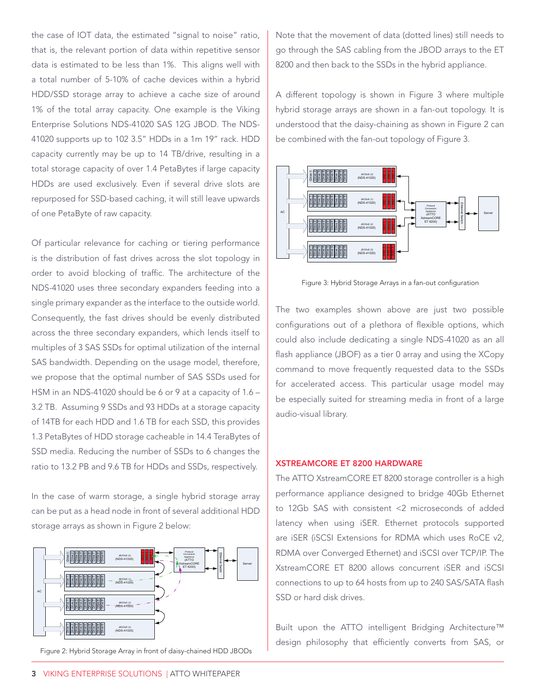the case of IOT data, the estimated "signal to noise" ratio, that is, the relevant portion of data within repetitive sensor data is estimated to be less than 1%. This aligns well with a total number of 5-10% of cache devices within a hybrid HDD/SSD storage array to achieve a cache size of around 1% of the total array capacity. One example is the Viking Enterprise Solutions NDS-41020 SAS 12G JBOD. The NDS-41020 supports up to 102 3.5" HDDs in a 1m 19" rack. HDD capacity currently may be up to 14 TB/drive, resulting in a total storage capacity of over 1.4 PetaBytes if large capacity HDDs are used exclusively. Even if several drive slots are repurposed for SSD-based caching, it will still leave upwards of one PetaByte of raw capacity.

Of particular relevance for caching or tiering performance is the distribution of fast drives across the slot topology in order to avoid blocking of traffic. The architecture of the NDS-41020 uses three secondary expanders feeding into a single primary expander as the interface to the outside world. Consequently, the fast drives should be evenly distributed across the three secondary expanders, which lends itself to multiples of 3 SAS SSDs for optimal utilization of the internal SAS bandwidth. Depending on the usage model, therefore, we propose that the optimal number of SAS SSDs used for HSM in an NDS-41020 should be 6 or 9 at a capacity of 1.6 – 3.2 TB. Assuming 9 SSDs and 93 HDDs at a storage capacity of 14TB for each HDD and 1.6 TB for each SSD, this provides 1.3 PetaBytes of HDD storage cacheable in 14.4 TeraBytes of SSD media. Reducing the number of SSDs to 6 changes the ratio to 13.2 PB and 9.6 TB for HDDs and SSDs, respectively.

In the case of warm storage, a single hybrid storage array can be put as a head node in front of several additional HDD storage arrays as shown in Figure 2 below:



Figure 2: Hybrid Storage Array in front of daisy-chained HDD JBODs

Note that the movement of data (dotted lines) still needs to go through the SAS cabling from the JBOD arrays to the ET 8200 and then back to the SSDs in the hybrid appliance.

A different topology is shown in Figure 3 where multiple hybrid storage arrays are shown in a fan-out topology. It is understood that the daisy-chaining as shown in Figure 2 can be combined with the fan-out topology of Figure 3.



Figure 3: Hybrid Storage Arrays in a fan-out configuration

The two examples shown above are just two possible configurations out of a plethora of flexible options, which could also include dedicating a single NDS-41020 as an all flash appliance (JBOF) as a tier 0 array and using the XCopy command to move frequently requested data to the SSDs for accelerated access. This particular usage model may be especially suited for streaming media in front of a large audio-visual library.

#### XstreamCORE ET 8200 Hardware

The ATTO XstreamCORE ET 8200 storage controller is a high performance appliance designed to bridge 40Gb Ethernet to 12Gb SAS with consistent <2 microseconds of added latency when using iSER. Ethernet protocols supported are iSER (iSCSI Extensions for RDMA which uses RoCE v2, RDMA over Converged Ethernet) and iSCSI over TCP/IP. The XstreamCORE ET 8200 allows concurrent iSER and iSCSI connections to up to 64 hosts from up to 240 SAS/SATA flash SSD or hard disk drives.

Built upon the ATTO intelligent Bridging Architecture™ design philosophy that efficiently converts from SAS, or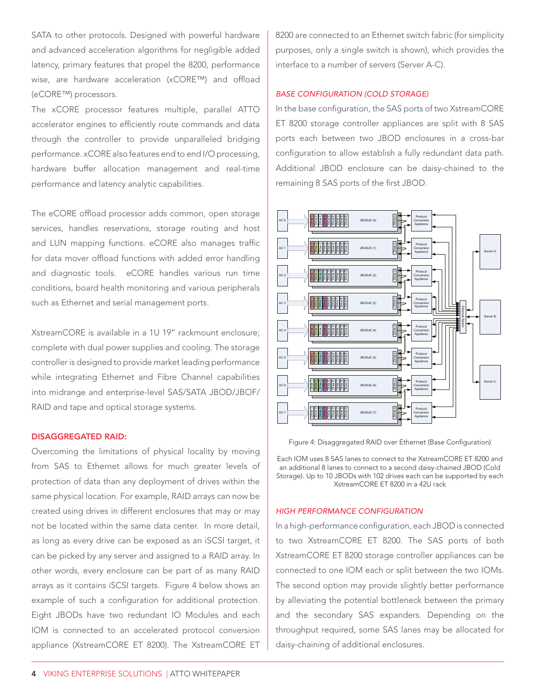SATA to other protocols. Designed with powerful hardware and advanced acceleration algorithms for negligible added latency, primary features that propel the 8200, performance wise, are hardware acceleration (xCORE™) and offload (eCORE™) processors.

The xCORE processor features multiple, parallel ATTO accelerator engines to efficiently route commands and data through the controller to provide unparalleled bridging performance. xCORE also features end to end I/O processing, hardware buffer allocation management and real-time performance and latency analytic capabilities.

The eCORE offload processor adds common, open storage services, handles reservations, storage routing and host and LUN mapping functions. eCORE also manages traffic for data mover offload functions with added error handling and diagnostic tools. eCORE handles various run time conditions, board health monitoring and various peripherals such as Ethernet and serial management ports.

XstreamCORE is available in a 1U 19" rackmount enclosure; complete with dual power supplies and cooling. The storage controller is designed to provide market leading performance while integrating Ethernet and Fibre Channel capabilities into midrange and enterprise-level SAS/SATA JBOD/JBOF/ RAID and tape and optical storage systems.

#### Disaggregated RAID:

Overcoming the limitations of physical locality by moving from SAS to Ethernet allows for much greater levels of protection of data than any deployment of drives within the same physical location. For example, RAID arrays can now be created using drives in different enclosures that may or may not be located within the same data center. In more detail, as long as every drive can be exposed as an iSCSI target, it can be picked by any server and assigned to a RAID array. In other words, every enclosure can be part of as many RAID arrays as it contains iSCSI targets. Figure 4 below shows an example of such a configuration for additional protection. Eight JBODs have two redundant IO Modules and each IOM is connected to an accelerated protocol conversion appliance (XstreamCORE ET 8200). The XstreamCORE ET

8200 are connected to an Ethernet switch fabric (for simplicity purposes, only a single switch is shown), which provides the interface to a number of servers (Server A-C).

# *Base Configuration (Cold Storage)*

In the base configuration, the SAS ports of two XstreamCORE ET 8200 storage controller appliances are split with 8 SAS ports each between two JBOD enclosures in a cross-bar configuration to allow establish a fully redundant data path. Additional JBOD enclosure can be daisy-chained to the remaining 8 SAS ports of the first JBOD.



Figure 4: Disaggregated RAID over Ethernet (Base Configuration)

Each IOM uses 8 SAS lanes to connect to the XstreamCORE ET 8200 and an additional 8 lanes to connect to a second daisy-chained JBOD (Cold Storage). Up to 10 JBODs with 102 drives each can be supported by each XstreamCORE ET 8200 in a 42U rack

#### *High Performance Configuration*

In a high-performance configuration, each JBOD is connected to two XstreamCORE ET 8200. The SAS ports of both XstreamCORE ET 8200 storage controller appliances can be connected to one IOM each or split between the two IOMs. The second option may provide slightly better performance by alleviating the potential bottleneck between the primary and the secondary SAS expanders. Depending on the throughput required, some SAS lanes may be allocated for daisy-chaining of additional enclosures.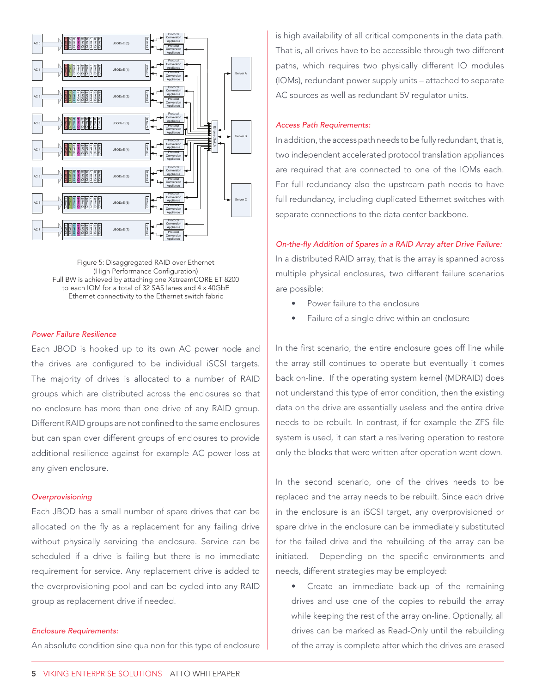

Figure 5: Disaggregated RAID over Ethernet (High Performance Configuration) Full BW is achieved by attaching one XstreamCORE ET 8200 to each IOM for a total of 32 SAS lanes and 4 x 40GbE Ethernet connectivity to the Ethernet switch fabric

#### *Power Failure Resilience*

Each JBOD is hooked up to its own AC power node and the drives are configured to be individual iSCSI targets. The majority of drives is allocated to a number of RAID groups which are distributed across the enclosures so that no enclosure has more than one drive of any RAID group. Different RAID groups are not confined to the same enclosures but can span over different groups of enclosures to provide additional resilience against for example AC power loss at any given enclosure.

#### *Overprovisioning*

Each JBOD has a small number of spare drives that can be allocated on the fly as a replacement for any failing drive without physically servicing the enclosure. Service can be scheduled if a drive is failing but there is no immediate requirement for service. Any replacement drive is added to the overprovisioning pool and can be cycled into any RAID group as replacement drive if needed.

#### *Enclosure Requirements:*

An absolute condition sine qua non for this type of enclosure

is high availability of all critical components in the data path. That is, all drives have to be accessible through two different paths, which requires two physically different IO modules (IOMs), redundant power supply units – attached to separate AC sources as well as redundant 5V regulator units.

#### *Access Path Requirements:*

In addition, the access path needs to be fully redundant, that is, two independent accelerated protocol translation appliances are required that are connected to one of the IOMs each. For full redundancy also the upstream path needs to have full redundancy, including duplicated Ethernet switches with separate connections to the data center backbone.

*On-the-fly Addition of Spares in a RAID Array after Drive Failure:*  In a distributed RAID array, that is the array is spanned across multiple physical enclosures, two different failure scenarios are possible:

- Power failure to the enclosure
- Failure of a single drive within an enclosure

In the first scenario, the entire enclosure goes off line while the array still continues to operate but eventually it comes back on-line. If the operating system kernel (MDRAID) does not understand this type of error condition, then the existing data on the drive are essentially useless and the entire drive needs to be rebuilt. In contrast, if for example the ZFS file system is used, it can start a resilvering operation to restore only the blocks that were written after operation went down.

In the second scenario, one of the drives needs to be replaced and the array needs to be rebuilt. Since each drive in the enclosure is an iSCSI target, any overprovisioned or spare drive in the enclosure can be immediately substituted for the failed drive and the rebuilding of the array can be initiated. Depending on the specific environments and needs, different strategies may be employed:

• Create an immediate back-up of the remaining drives and use one of the copies to rebuild the array while keeping the rest of the array on-line. Optionally, all drives can be marked as Read-Only until the rebuilding of the array is complete after which the drives are erased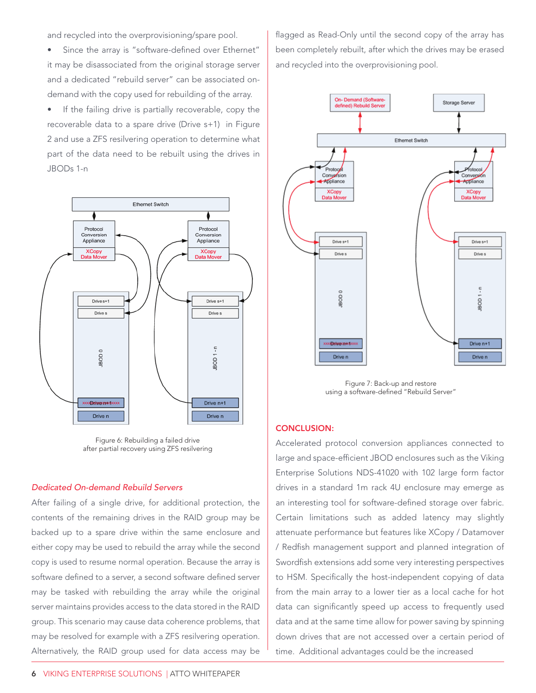and recycled into the overprovisioning/spare pool.

Since the array is "software-defined over Ethernet" it may be disassociated from the original storage server and a dedicated "rebuild server" can be associated ondemand with the copy used for rebuilding of the array.

• If the failing drive is partially recoverable, copy the recoverable data to a spare drive (Drive s+1) in Figure 2 and use a ZFS resilvering operation to determine what part of the data need to be rebuilt using the drives in JBODs 1-n



Figure 6: Rebuilding a failed drive after partial recovery using ZFS resilvering

### *Dedicated On-demand Rebuild Servers*

After failing of a single drive, for additional protection, the contents of the remaining drives in the RAID group may be backed up to a spare drive within the same enclosure and either copy may be used to rebuild the array while the second copy is used to resume normal operation. Because the array is software defined to a server, a second software defined server may be tasked with rebuilding the array while the original server maintains provides access to the data stored in the RAID group. This scenario may cause data coherence problems, that may be resolved for example with a ZFS resilvering operation. Alternatively, the RAID group used for data access may be

flagged as Read-Only until the second copy of the array has been completely rebuilt, after which the drives may be erased and recycled into the overprovisioning pool.



Figure 7: Back-up and restore using a software-defined "Rebuild Server"

# CONCLUSION:

Accelerated protocol conversion appliances connected to large and space-efficient JBOD enclosures such as the Viking Enterprise Solutions NDS-41020 with 102 large form factor drives in a standard 1m rack 4U enclosure may emerge as an interesting tool for software-defined storage over fabric. Certain limitations such as added latency may slightly attenuate performance but features like XCopy / Datamover / Redfish management support and planned integration of Swordfish extensions add some very interesting perspectives to HSM. Specifically the host-independent copying of data from the main array to a lower tier as a local cache for hot data can significantly speed up access to frequently used data and at the same time allow for power saving by spinning down drives that are not accessed over a certain period of time. Additional advantages could be the increased